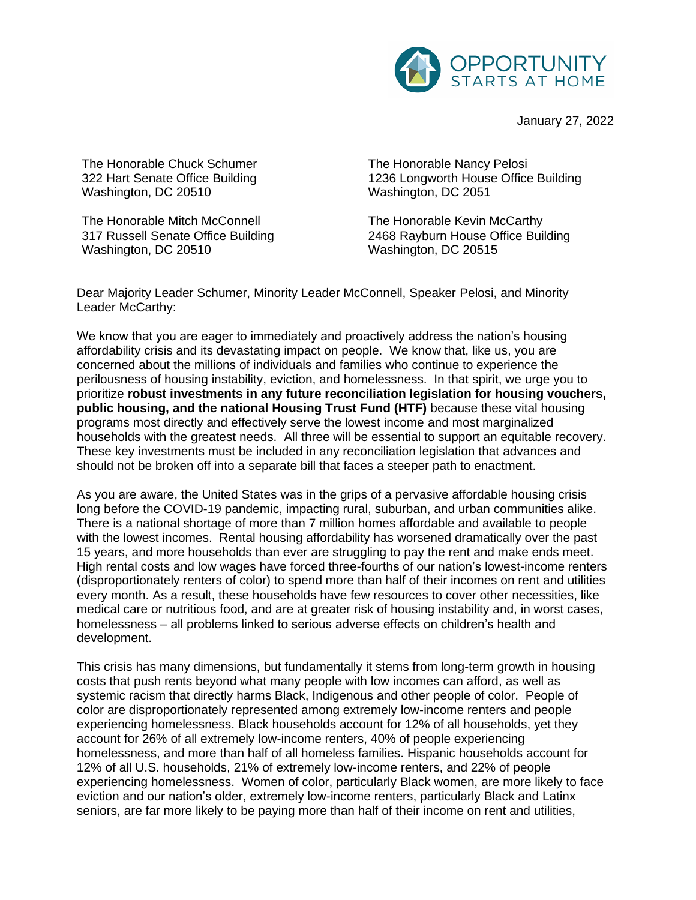

January 27, 2022

The Honorable Chuck Schumer 322 Hart Senate Office Building Washington, DC 20510

The Honorable Mitch McConnell 317 Russell Senate Office Building Washington, DC 20510

The Honorable Nancy Pelosi 1236 Longworth House Office Building Washington, DC 2051

The Honorable Kevin McCarthy 2468 Rayburn House Office Building Washington, DC 20515

Dear Majority Leader Schumer, Minority Leader McConnell, Speaker Pelosi, and Minority Leader McCarthy:

We know that you are eager to immediately and proactively address the nation's housing affordability crisis and its devastating impact on people. We know that, like us, you are concerned about the millions of individuals and families who continue to experience the perilousness of housing instability, eviction, and homelessness. In that spirit, we urge you to prioritize **robust investments in any future reconciliation legislation for housing vouchers, public housing, and the national Housing Trust Fund (HTF)** because these vital housing programs most directly and effectively serve the lowest income and most marginalized households with the greatest needs. All three will be essential to support an equitable recovery. These key investments must be included in any reconciliation legislation that advances and should not be broken off into a separate bill that faces a steeper path to enactment.

As you are aware, the United States was in the grips of a pervasive affordable housing crisis long before the COVID-19 pandemic, impacting rural, suburban, and urban communities alike. There is a national shortage of more than 7 million homes affordable and available to people with the lowest incomes. Rental housing affordability has worsened dramatically over the past 15 years, and more households than ever are struggling to pay the rent and make ends meet. High rental costs and low wages have forced three-fourths of our nation's lowest-income renters (disproportionately renters of color) to spend more than half of their incomes on rent and utilities every month. As a result, these households have few resources to cover other necessities, like medical care or nutritious food, and are at greater risk of housing instability and, in worst cases, homelessness – all problems linked to serious adverse effects on children's health and development.

This crisis has many dimensions, but fundamentally it stems from long-term growth in housing costs that push rents beyond what many people with low incomes can afford, as well as systemic racism that directly harms Black, Indigenous and other people of color. People of color are disproportionately represented among extremely low-income renters and people experiencing homelessness. Black households account for 12% of all households, yet they account for 26% of all extremely low-income renters, 40% of people experiencing homelessness, and more than half of all homeless families. Hispanic households account for 12% of all U.S. households, 21% of extremely low-income renters, and 22% of people experiencing homelessness. Women of color, particularly Black women, are more likely to face eviction and our nation's older, extremely low-income renters, particularly Black and Latinx seniors, are far more likely to be paying more than half of their income on rent and utilities,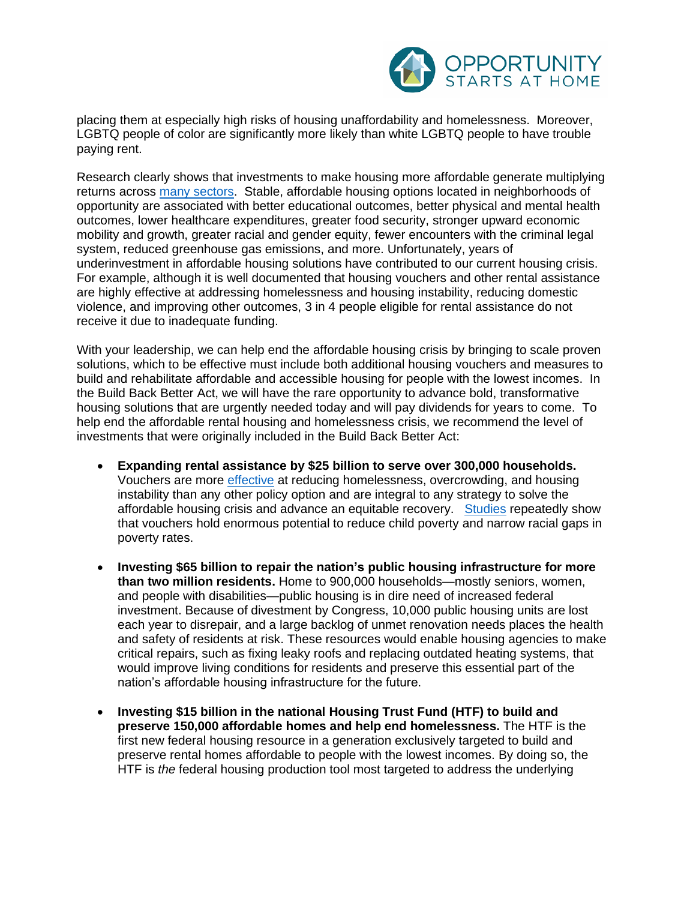

placing them at especially high risks of housing unaffordability and homelessness. Moreover, LGBTQ people of color are significantly more likely than white LGBTQ people to have trouble paying rent.

Research clearly shows that investments to make housing more affordable generate multiplying returns across [many sectors.](https://www.opportunityhome.org/related-sectors/) Stable, affordable housing options located in neighborhoods of opportunity are associated with better educational outcomes, better physical and mental health outcomes, lower healthcare expenditures, greater food security, stronger upward economic mobility and growth, greater racial and gender equity, fewer encounters with the criminal legal system, reduced greenhouse gas emissions, and more. Unfortunately, years of underinvestment in affordable housing solutions have contributed to our current housing crisis. For example, although it is well documented that housing vouchers and other rental assistance are highly effective at addressing homelessness and housing instability, reducing domestic violence, and improving other outcomes, 3 in 4 people eligible for rental assistance do not receive it due to inadequate funding.

With your leadership, we can help end the affordable housing crisis by bringing to scale proven solutions, which to be effective must include both additional housing vouchers and measures to build and rehabilitate affordable and accessible housing for people with the lowest incomes. In the Build Back Better Act, we will have the rare opportunity to advance bold, transformative housing solutions that are urgently needed today and will pay dividends for years to come. To help end the affordable rental housing and homelessness crisis, we recommend the level of investments that were originally included in the Build Back Better Act:

- **Expanding rental assistance by \$25 billion to serve over 300,000 households.**  Vouchers are more [effective](https://www.cbpp.org/housing-choice-vouchers-sharply-reduced-crowded-housing-homelessness-and-frequent-moves) at reducing homelessness, overcrowding, and housing instability than any other policy option and are integral to any strategy to solve the affordable housing crisis and advance an equitable recovery. [Studies](https://static1.squarespace.com/static/5743308460b5e922a25a6dc7/t/5f7dd00e12dfe51e169a7e83/1602080783936/Housing-Vouchers-Proposal-Poverty-Impacts-CPSP-2020.pdf) repeatedly show that vouchers hold enormous potential to reduce child poverty and narrow racial gaps in poverty rates.
- **Investing \$65 billion to repair the nation's public housing infrastructure for more than two million residents.** Home to 900,000 households—mostly seniors, women, and people with disabilities—public housing is in dire need of increased federal investment. Because of divestment by Congress, 10,000 public housing units are lost each year to disrepair, and a large backlog of unmet renovation needs places the health and safety of residents at risk. These resources would enable housing agencies to make critical repairs, such as fixing leaky roofs and replacing outdated heating systems, that would improve living conditions for residents and preserve this essential part of the nation's affordable housing infrastructure for the future.
- **Investing \$15 billion in the national Housing Trust Fund (HTF) to build and preserve 150,000 affordable homes and help end homelessness.** The HTF is the first new federal housing resource in a generation exclusively targeted to build and preserve rental homes affordable to people with the lowest incomes. By doing so, the HTF is *the* federal housing production tool most targeted to address the underlying